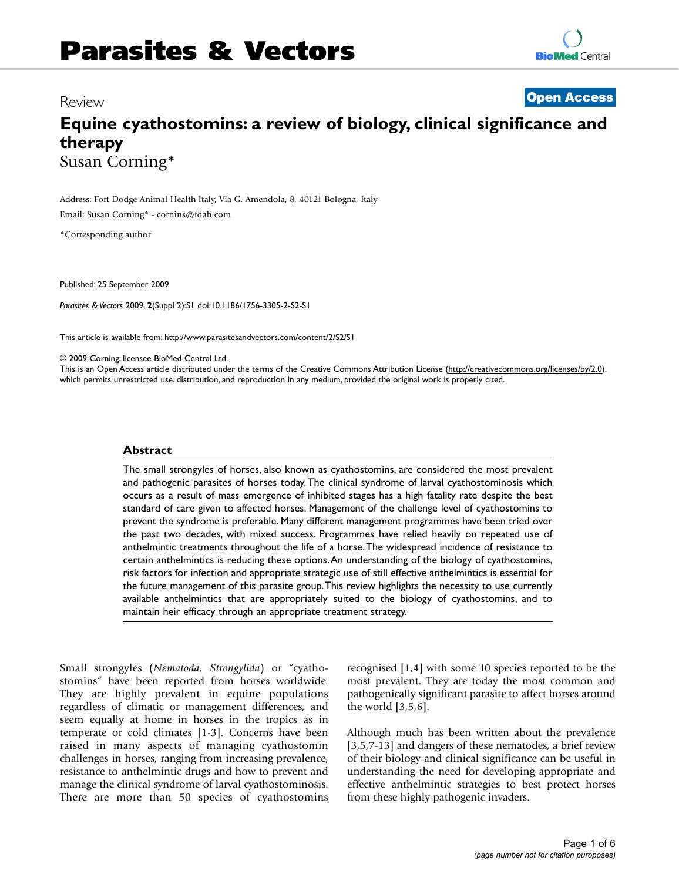## Review

**Open Access**

# **Equine cyathostomins: a review of biology, clinical significance and therapy** Susan Corning\*

Address: Fort Dodge Animal Health Italy, Via G. Amendola, 8, 40121 Bologna, Italy

Email: Susan Corning\* - cornins@fdah.com

\*Corresponding author

Published: 25 September 2009

*Parasites & Vectors* 2009, **2**(Suppl 2):S1 doi:10.1186/1756-3305-2-S2-S1

This article is available from: http://www.parasitesandvectors.com/content/2/S2/S1

© 2009 Corning; licensee BioMed Central Ltd.

This is an Open Access article distributed under the terms of the Creative Commons Attribution License (http://creativecommons.org/licenses/by/2.0), which permits unrestricted use, distribution, and reproduction in any medium, provided the original work is properly cited.

#### **Abstract**

The small strongyles of horses, also known as cyathostomins, are considered the most prevalent and pathogenic parasites of horses today.The clinical syndrome of larval cyathostominosis which occurs as a result of mass emergence of inhibited stages has a high fatality rate despite the best standard of care given to affected horses. Management of the challenge level of cyathostomins to prevent the syndrome is preferable. Many different management programmes have been tried over the past two decades, with mixed success. Programmes have relied heavily on repeated use of anthelmintic treatments throughout the life of a horse.The widespread incidence of resistance to certain anthelmintics is reducing these options.An understanding of the biology of cyathostomins, risk factors for infection and appropriate strategic use of still effective anthelmintics is essential for the future management of this parasite group.This review highlights the necessity to use currently available anthelmintics that are appropriately suited to the biology of cyathostomins, and to maintain heir efficacy through an appropriate treatment strategy.

Small strongyles (*Nematoda, Strongylida*) or "cyathostomins" have been reported from horses worldwide. They are highly prevalent in equine populations regardless of climatic or management differences, and seem equally at home in horses in the tropics as in temperate or cold climates [1-3]. Concerns have been raised in many aspects of managing cyathostomin challenges in horses, ranging from increasing prevalence, resistance to anthelmintic drugs and how to prevent and manage the clinical syndrome of larval cyathostominosis. There are more than 50 species of cyathostomins

recognised [1,4] with some 10 species reported to be the most prevalent. They are today the most common and pathogenically significant parasite to affect horses around the world [3,5,6].

Although much has been written about the prevalence [3,5,7-13] and dangers of these nematodes, a brief review of their biology and clinical significance can be useful in understanding the need for developing appropriate and effective anthelmintic strategies to best protect horses from these highly pathogenic invaders.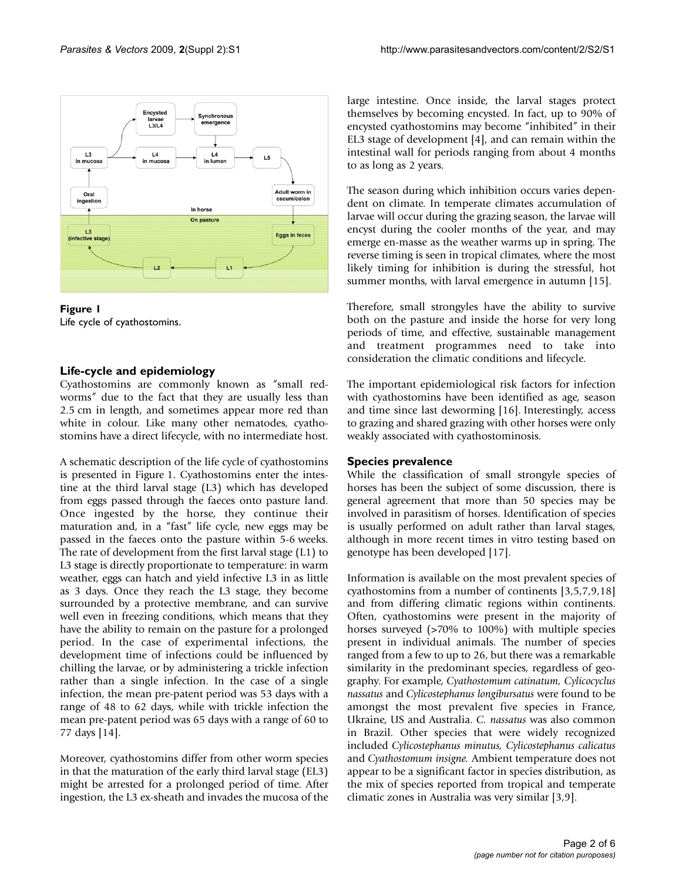



#### **Life-cycle and epidemiology**

Cyathostomins are commonly known as "small redworms" due to the fact that they are usually less than 2.5 cm in length, and sometimes appear more red than white in colour. Like many other nematodes, cyathostomins have a direct lifecycle, with no intermediate host.

A schematic description of the life cycle of cyathostomins is presented in Figure 1. Cyathostomins enter the intestine at the third larval stage (L3) which has developed from eggs passed through the faeces onto pasture land. Once ingested by the horse, they continue their maturation and, in a "fast" life cycle, new eggs may be passed in the faeces onto the pasture within 5-6 weeks. The rate of development from the first larval stage (L1) to L3 stage is directly proportionate to temperature: in warm weather, eggs can hatch and yield infective L3 in as little as 3 days. Once they reach the L3 stage, they become surrounded by a protective membrane, and can survive well even in freezing conditions, which means that they have the ability to remain on the pasture for a prolonged period. In the case of experimental infections, the development time of infections could be influenced by chilling the larvae, or by administering a trickle infection rather than a single infection. In the case of a single infection, the mean pre-patent period was 53 days with a range of 48 to 62 days, while with trickle infection the mean pre-patent period was 65 days with a range of 60 to 77 days [14].

Moreover, cyathostomins differ from other worm species in that the maturation of the early third larval stage (EL3) might be arrested for a prolonged period of time. After ingestion, the L3 ex-sheath and invades the mucosa of the large intestine. Once inside, the larval stages protect themselves by becoming encysted. In fact, up to 90% of encysted cyathostomins may become "inhibited" in their EL3 stage of development [4], and can remain within the intestinal wall for periods ranging from about 4 months to as long as 2 years.

The season during which inhibition occurs varies dependent on climate. In temperate climates accumulation of larvae will occur during the grazing season, the larvae will encyst during the cooler months of the year, and may emerge en-masse as the weather warms up in spring. The reverse timing is seen in tropical climates, where the most likely timing for inhibition is during the stressful, hot summer months, with larval emergence in autumn [15].

Therefore, small strongyles have the ability to survive both on the pasture and inside the horse for very long periods of time, and effective, sustainable management and treatment programmes need to take into consideration the climatic conditions and lifecycle.

The important epidemiological risk factors for infection with cyathostomins have been identified as age, season and time since last deworming [16]. Interestingly, access to grazing and shared grazing with other horses were only weakly associated with cyathostominosis.

#### **Species prevalence**

While the classification of small strongyle species of horses has been the subject of some discussion, there is general agreement that more than 50 species may be involved in parasitism of horses. Identification of species is usually performed on adult rather than larval stages, although in more recent times in vitro testing based on genotype has been developed [17].

Information is available on the most prevalent species of cyathostomins from a number of continents [3,5,7,9,18] and from differing climatic regions within continents. Often, cyathostomins were present in the majority of horses surveyed (>70% to 100%) with multiple species present in individual animals. The number of species ranged from a few to up to 26, but there was a remarkable similarity in the predominant species, regardless of geography. For example, *Cyathostomum catinatum, Cylicocyclus nassatus* and *Cylicostephanus longibursatus* were found to be amongst the most prevalent five species in France, Ukraine, US and Australia. *C. nassatus* was also common in Brazil. Other species that were widely recognized included *Cylicostephanus minutus, Cylicostephanus calicatus* and *Cyathostomum insigne.* Ambient temperature does not appear to be a significant factor in species distribution, as the mix of species reported from tropical and temperate climatic zones in Australia was very similar [3,9].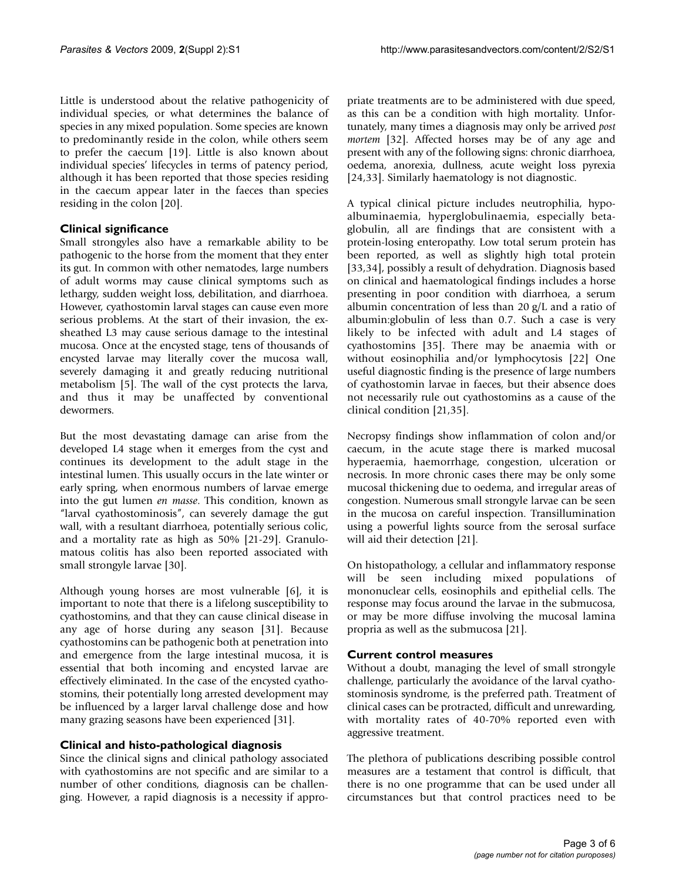Little is understood about the relative pathogenicity of individual species, or what determines the balance of species in any mixed population. Some species are known to predominantly reside in the colon, while others seem to prefer the caecum [19]. Little is also known about individual species' lifecycles in terms of patency period, although it has been reported that those species residing in the caecum appear later in the faeces than species residing in the colon [20].

## **Clinical significance**

Small strongyles also have a remarkable ability to be pathogenic to the horse from the moment that they enter its gut. In common with other nematodes, large numbers of adult worms may cause clinical symptoms such as lethargy, sudden weight loss, debilitation, and diarrhoea. However, cyathostomin larval stages can cause even more serious problems. At the start of their invasion, the exsheathed L3 may cause serious damage to the intestinal mucosa. Once at the encysted stage, tens of thousands of encysted larvae may literally cover the mucosa wall, severely damaging it and greatly reducing nutritional metabolism [5]. The wall of the cyst protects the larva, and thus it may be unaffected by conventional dewormers.

But the most devastating damage can arise from the developed L4 stage when it emerges from the cyst and continues its development to the adult stage in the intestinal lumen. This usually occurs in the late winter or early spring, when enormous numbers of larvae emerge into the gut lumen *en masse*. This condition, known as "larval cyathostominosis", can severely damage the gut wall, with a resultant diarrhoea, potentially serious colic, and a mortality rate as high as 50% [21-29]. Granulomatous colitis has also been reported associated with small strongyle larvae [30].

Although young horses are most vulnerable [6], it is important to note that there is a lifelong susceptibility to cyathostomins, and that they can cause clinical disease in any age of horse during any season [31]. Because cyathostomins can be pathogenic both at penetration into and emergence from the large intestinal mucosa, it is essential that both incoming and encysted larvae are effectively eliminated. In the case of the encysted cyathostomins, their potentially long arrested development may be influenced by a larger larval challenge dose and how many grazing seasons have been experienced [31].

## **Clinical and histo-pathological diagnosis**

Since the clinical signs and clinical pathology associated with cyathostomins are not specific and are similar to a number of other conditions, diagnosis can be challenging. However, a rapid diagnosis is a necessity if appropriate treatments are to be administered with due speed, as this can be a condition with high mortality. Unfortunately, many times a diagnosis may only be arrived *post mortem* [32]. Affected horses may be of any age and present with any of the following signs: chronic diarrhoea, oedema, anorexia, dullness, acute weight loss pyrexia [24,33]. Similarly haematology is not diagnostic.

A typical clinical picture includes neutrophilia, hypoalbuminaemia, hyperglobulinaemia, especially betaglobulin, all are findings that are consistent with a protein-losing enteropathy. Low total serum protein has been reported, as well as slightly high total protein [33,34], possibly a result of dehydration. Diagnosis based on clinical and haematological findings includes a horse presenting in poor condition with diarrhoea, a serum albumin concentration of less than 20 g/L and a ratio of albumin:globulin of less than 0.7. Such a case is very likely to be infected with adult and L4 stages of cyathostomins [35]. There may be anaemia with or without eosinophilia and/or lymphocytosis [22] One useful diagnostic finding is the presence of large numbers of cyathostomin larvae in faeces, but their absence does not necessarily rule out cyathostomins as a cause of the clinical condition [21,35].

Necropsy findings show inflammation of colon and/or caecum, in the acute stage there is marked mucosal hyperaemia, haemorrhage, congestion, ulceration or necrosis. In more chronic cases there may be only some mucosal thickening due to oedema, and irregular areas of congestion. Numerous small strongyle larvae can be seen in the mucosa on careful inspection. Transillumination using a powerful lights source from the serosal surface will aid their detection [21].

On histopathology, a cellular and inflammatory response will be seen including mixed populations of mononuclear cells, eosinophils and epithelial cells. The response may focus around the larvae in the submucosa, or may be more diffuse involving the mucosal lamina propria as well as the submucosa [21].

## **Current control measures**

Without a doubt, managing the level of small strongyle challenge, particularly the avoidance of the larval cyathostominosis syndrome, is the preferred path. Treatment of clinical cases can be protracted, difficult and unrewarding, with mortality rates of 40-70% reported even with aggressive treatment.

The plethora of publications describing possible control measures are a testament that control is difficult, that there is no one programme that can be used under all circumstances but that control practices need to be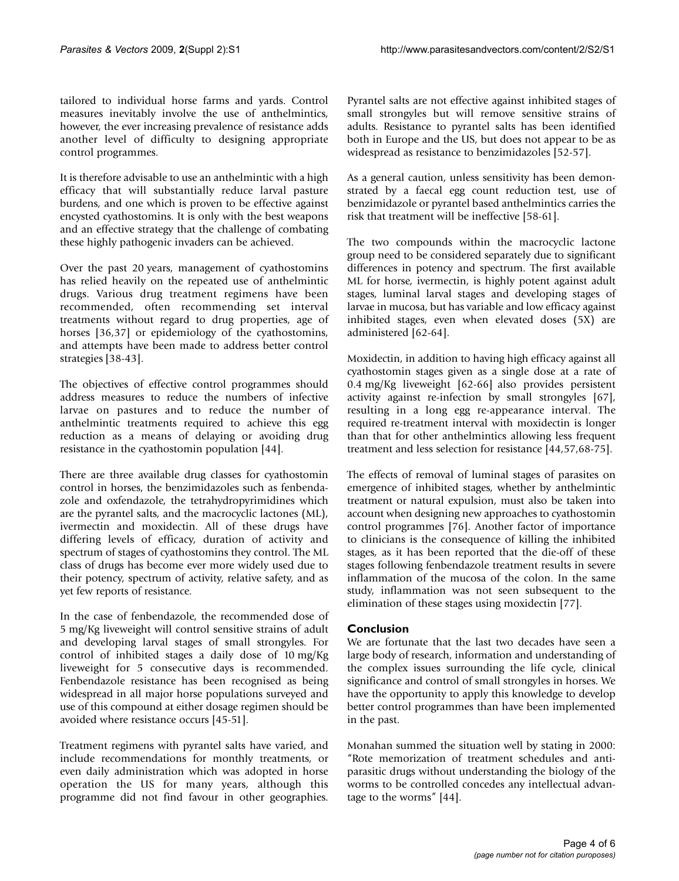tailored to individual horse farms and yards. Control measures inevitably involve the use of anthelmintics, however, the ever increasing prevalence of resistance adds another level of difficulty to designing appropriate control programmes.

It is therefore advisable to use an anthelmintic with a high efficacy that will substantially reduce larval pasture burdens, and one which is proven to be effective against encysted cyathostomins. It is only with the best weapons and an effective strategy that the challenge of combating these highly pathogenic invaders can be achieved.

Over the past 20 years, management of cyathostomins has relied heavily on the repeated use of anthelmintic drugs. Various drug treatment regimens have been recommended, often recommending set interval treatments without regard to drug properties, age of horses [36,37] or epidemiology of the cyathostomins, and attempts have been made to address better control strategies [38-43].

The objectives of effective control programmes should address measures to reduce the numbers of infective larvae on pastures and to reduce the number of anthelmintic treatments required to achieve this egg reduction as a means of delaying or avoiding drug resistance in the cyathostomin population [44].

There are three available drug classes for cyathostomin control in horses, the benzimidazoles such as fenbendazole and oxfendazole, the tetrahydropyrimidines which are the pyrantel salts, and the macrocyclic lactones (ML), ivermectin and moxidectin. All of these drugs have differing levels of efficacy, duration of activity and spectrum of stages of cyathostomins they control. The ML class of drugs has become ever more widely used due to their potency, spectrum of activity, relative safety, and as yet few reports of resistance.

In the case of fenbendazole, the recommended dose of 5 mg/Kg liveweight will control sensitive strains of adult and developing larval stages of small strongyles. For control of inhibited stages a daily dose of 10 mg/Kg liveweight for 5 consecutive days is recommended. Fenbendazole resistance has been recognised as being widespread in all major horse populations surveyed and use of this compound at either dosage regimen should be avoided where resistance occurs [45-51].

Treatment regimens with pyrantel salts have varied, and include recommendations for monthly treatments, or even daily administration which was adopted in horse operation the US for many years, although this programme did not find favour in other geographies.

Pyrantel salts are not effective against inhibited stages of small strongyles but will remove sensitive strains of adults. Resistance to pyrantel salts has been identified both in Europe and the US, but does not appear to be as widespread as resistance to benzimidazoles [52-57].

As a general caution, unless sensitivity has been demonstrated by a faecal egg count reduction test, use of benzimidazole or pyrantel based anthelmintics carries the risk that treatment will be ineffective [58-61].

The two compounds within the macrocyclic lactone group need to be considered separately due to significant differences in potency and spectrum. The first available ML for horse, ivermectin, is highly potent against adult stages, luminal larval stages and developing stages of larvae in mucosa, but has variable and low efficacy against inhibited stages, even when elevated doses (5X) are administered [62-64].

Moxidectin, in addition to having high efficacy against all cyathostomin stages given as a single dose at a rate of 0.4 mg/Kg liveweight [62-66] also provides persistent activity against re-infection by small strongyles [67], resulting in a long egg re-appearance interval. The required re-treatment interval with moxidectin is longer than that for other anthelmintics allowing less frequent treatment and less selection for resistance [44,57,68-75].

The effects of removal of luminal stages of parasites on emergence of inhibited stages, whether by anthelmintic treatment or natural expulsion, must also be taken into account when designing new approaches to cyathostomin control programmes [76]. Another factor of importance to clinicians is the consequence of killing the inhibited stages, as it has been reported that the die-off of these stages following fenbendazole treatment results in severe inflammation of the mucosa of the colon. In the same study, inflammation was not seen subsequent to the elimination of these stages using moxidectin [77].

#### **Conclusion**

We are fortunate that the last two decades have seen a large body of research, information and understanding of the complex issues surrounding the life cycle, clinical significance and control of small strongyles in horses. We have the opportunity to apply this knowledge to develop better control programmes than have been implemented in the past.

Monahan summed the situation well by stating in 2000: "Rote memorization of treatment schedules and antiparasitic drugs without understanding the biology of the worms to be controlled concedes any intellectual advantage to the worms" [44].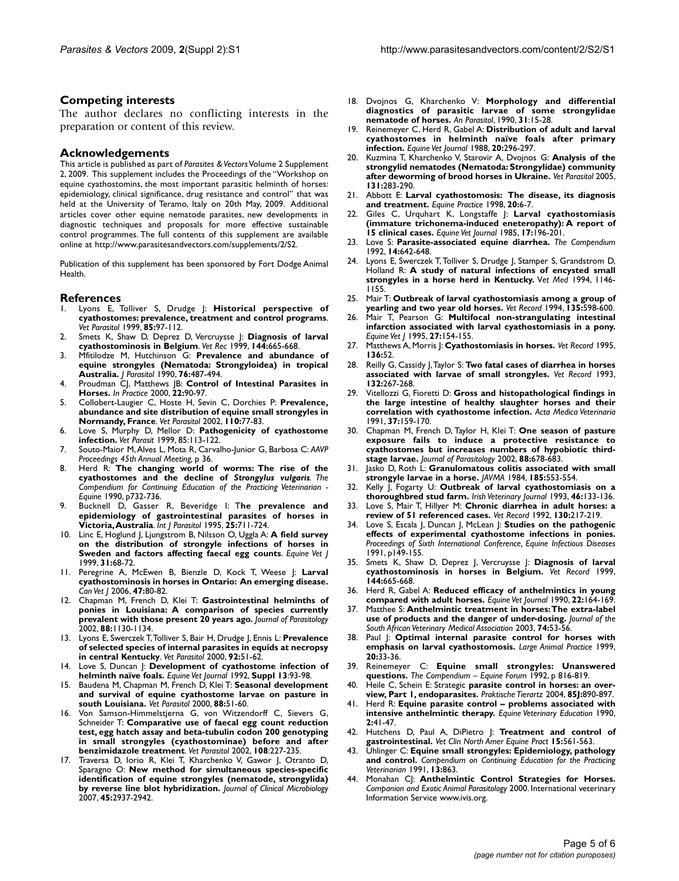#### **Competing interests**

The author declares no conflicting interests in the preparation or content of this review.

#### **Acknowledgements**

This article is published as part of *Parasites & Vectors*Volume 2 Supplement 2, 2009. This supplement includes the Proceedings of the "Workshop on equine cyathostomins, the most important parasitic helminth of horses: epidemiology, clinical significance, drug resistance and control" that was held at the University of Teramo, Italy on 20th May, 2009. Additional articles cover other equine nematode parasites, new developments in diagnostic techniques and proposals for more effective sustainable control programmes. The full contents of this supplement are available online at http://www.parasitesandvectors.com/supplements/2/S2.

Publication of this supplement has been sponsored by Fort Dodge Animal Health.

## **References**<br>L. Lyons E.

- 1. Lyons E, Tolliver S, Drudge J: **Historical perspective of cyathostomes: prevalence, treatment and control programs**. *Vet Parasitol* 1999, **85:**97-112.
- 2. Smets K, Shaw D, Deprez D, Vercruysse J: **Diagnosis of larval cyathostominosis in Belgium**. *Vet Rec* 1999, **144:**665-668.
- 3. Mfitilodze M, Hutchinson G: **Prevalence and abundance of equine strongyles (Nematoda: Strongyloidea) in tropical Australia.** *J Parasitol* 1990, **76:**487-494.
- 4. Proudman CJ, Matthews JB: **Control of Intestinal Parasites in Horses.** *In Practice* 2000, **22:**90-97.
- 5. Collobert-Laugier C, Hoste H, Sevin C, Dorchies P: **Prevalence, abundance and site distribution of equine small strongyles in Normandy, France**. *Vet Parasitol* 2002, **110:**77-83.
- Love S, Murphy D, Mellor D: Pathogenicity of cyathostome **infection.** *Vet Parasit* 1999, 85:113-122.
- 7. Souto-Maior M,Alves L, Mota R, Carvalho-Junior G, Barbosa C: *AAVP Proceedings 45th Annual Meeting,* p 36.
- 8. Herd R: **The changing world of worms: The rise of the cyathostomes and the decline of** *Strongylus vulgaris. The Compendium for Continuing Education of the Practicing Veterinarian - Equine* 1990, p732-736.
- 9. Bucknell D, Gasser R, Beveridge I: T**he prevalence and epidemiology of gastrointestinal parasites of horses in Victoria,Australia**. *Int J Parasitol* 1995, **25:**711-724.
- 10. Linc E, Hoglund J, Ljungstrom B, Nilsson O, Uggla A: **A field survey on the distribution of strongyle infections of horses in Sweden and factors affecting faecal egg counts**. *Equine Vet J* 1999, **31:**68-72.
- 11. Peregrine A, McEwen B, Bienzle D, Kock T, Weese J: **Larval cyathostominosis in horses in Ontario: An emerging disease.** *Can Vet J* 2006, **47:**80-82.
- 12. Chapman M, French D, Klei T: **Gastrointestinal helminths of ponies in Louisiana: A comparison of species currently prevalent with those present 20 years ago.** *Journal of Parasitology* 2002, **88:**1130-1134.
- 13. Lyons E, Swerczek T,Tolliver S, Bair H, Drudge J, Ennis L: **Prevalence of selected species of internal parasites in equids at necropsy in central Kentucky**. *Vet Parasitol* 2000, **92:**51-62.
- 14. Love S, Duncan J: **Development of cyathostome infection of helminth naïve foals.** *Equine Vet Journal* 1992, **Suppl 13**:93-98.
- 15. Baudena M, Chapman M, French D, Klei T: **Seasonal development and survival of equine cyathostome larvae on pasture in south Louisiana.** *Vet Parasitol* 2000, **88:**51-60.
- Von Samson-Himmelstjerna G, von Witzendorff C, Sievers G, Schneider T: **Comparative use of faecal egg count reduction test, egg hatch assay and beta-tubulin codon 200 genotyping in small strongyles (cyathostominae) before and after benzimidazole treatment**. *Vet Parasitol* 2002, **108**:227-235.
- Traversa D, Iorio R, Klei T, Kharchenko V, Gawor J, Otranto D, Sparagno O: **New method for simultaneous species-specific identification of equine strongyles (nematode, strongylida) by reverse line blot hybridization.** *Journal of Clinical Microbiology* 2007, **45:**2937-2942.
- 18. Dvojnos G, Kharchenko V: **Morphology and differential diagnostics of parasitic larvae of some strongylidae nematode of horses.** *An Parasitol*, 1990, **31**:15-28.
- 19. Reinemeyer C, Herd R, Gabel A: **Distribution of adult and larval cyathostomes in helminth naïve foals after primary infection.** *Equine Vet Journal* 1988, **20:**296-297.
- 20. Kuzmina T, Kharchenko V, Starovir A, Dvojnos G: **Analysis of the strongylid nematodes (Nematoda: Strongylidae) community after deworming of brood horses in Ukraine.** *Vet Parasitol* 2005, **131:**283-290.
- 21. Abbott E: **Larval cyathostomosis: The disease, its diagnosis and treatment.** *Equine Practice* 1998, **20:**6-7.
- 22. Giles C, Urquhart K, Longstaffe J: **Larval cyathostomiasis (immature trichonema-induced eneteropathy): A report of 15 clinical cases.** *Equine Vet Journal* 1985, **17:**196-201.
- 23. Love S: **Parasite-associated equine diarrhea.** *The Compendium* 1992, **14:**642-648.
- 24. Lyons E, Swerczek T, Tolliver S, Drudge J, Stamper S, Grandstrom D, Holland R: **A study of natural infections of encysted small strongyles in a horse herd in Kentucky.** V*et Med* 1994, 1146- 1155.
- 25. Mair T: **Outbreak of larval cyathostomiasis among a group of yearling and two year old horses.** *Vet Record* 1994, **135:**598-600.
- 26. Mair T, Pearson G: **Multifocal non-strangulating intestinal infarction associated with larval cyathostomiasis in a pony.** *Equine Vet J* 1995, **27:**154-155.
- 27. Matthews A, Morris J: **Cyathostomiasis in horses.** *Vet Record* 1995, **136:**52.
- 28. Reilly G, Cassidy J,Taylor S: **Two fatal cases of diarrhea in horses associated with larvae of small strongyles.** *Vet Record* 1993, **132:**267-268.
- 29. Vitellozzi G, Fioretti D: **Gross and histopathological findings in the large intestine of healthy slaughter horses and their correlation with cyathostome infection.** *Acta Medica Veterinaria* 1991, **37:**159-170.
- 30. Chapman M, French D, Taylor H, Klei T: **One season of pasture exposure fails to induce a protective resistance to cyathostomes but increases numbers of hypobiotic thirdstage larvae.** *Journal of Parasitology* 2002, **88:**678-683.
- 31. Jasko D, Roth L: **Granulomatous colitis associated with small strongyle larvae in a horse.** *JAVMA* 1984, **185:**553-554.
- 32. Kelly J, Fogarty U: **Outbreak of larval cyathostomiasis on a thoroughbred stud farm.** *Irish Veterinary Journal* 1993, **46:**133-136.
- 33. Love S, Mair T, Hillyer M: **Chronic diarrhea in adult horses: a review of 51 referenced cases.** *Vet Record* 1992, **130:**217-219.
- 34. Love S, Escala J, Duncan J, McLean J: **Studies on the pathogenic effects of experimental cyathostome infections in ponies.** *Proceedings of Sixth International Conference, Equine Infectious Diseases* 1991, p149-155.
- 35. Smets K, Shaw D, Deprez J, Vercruysse J: **Diagnosis of larval cyathostominosis in horses in Belgium.** *Vet Record* 1999, **144:**665-668.
- 36. Herd R, Gabel A: **Reduced efficacy of anthelmintics in young compared with adult horses.** *Equine Vet Journal* 1990, **22:**164-169.
- 37. Matthee S: **Anthelmintic treatment in horses:The extra-label use of products and the danger of under-dosing.** *Journal of the South African Veterinary Medical Association* 2003, **74:**53-56.
- 38. Paul J: **Optimal internal parasite control for horses with emphasis on larval cyathostomosis.** *Large Animal Practice* 1999, **20:**33-36.
- 39. Reinemeyer C: **Equine small strongyles: Unanswered questions.** *The Compendium – Equine Forum* 1992, p 816-819.
- 40. Heile C, Schein E: Strategic **parasite control in horses: an overview, Part 1, endoparasites.** *Praktische Tierartz* 2004, **85J:**890-897.
- 41. Herd R: **Equine parasite control problems associated with intensive anthelmintic therapy.** *Equine Veterinary Education* 1990, **2:**41-47.
- 42. Hutchens D, Paul A, DiPietro J: **Treatment and control of gastrointestinal.** *Vet Clin North Amer Equine Pract* **15:**561-563.
- 43. Uhlinger C: **Equine small strongyles: Epidemiology, pathology and control.** *Compendium on Continuing Education for the Practicing Veterinarian* 1991, **13:**863.
- 44. Monahan CJ: **Anthelmintic Control Strategies for Horses.** *Companion and Exotic Animal Parasitology* 2000. International veterinary Information Service www.ivis.org.